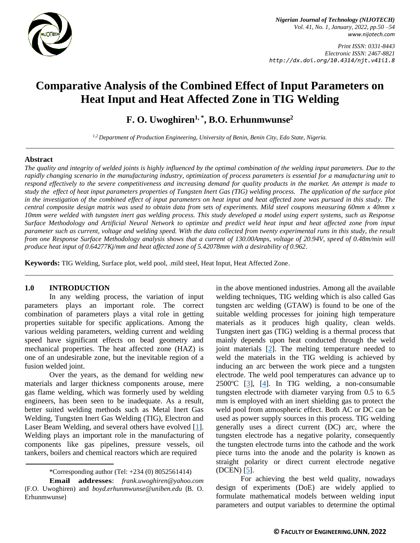

*Print ISSN: 0331-8443 Electronic ISSN: 2467-8821 http://dx.doi.org/10.4314/njt.v41i1.8*

# **Comparative Analysis of the Combined Effect of Input Parameters on Heat Input and Heat Affected Zone in TIG Welding**

**F. O. Uwoghiren1, \* , B.O. Erhunmwunse<sup>2</sup>**

*1,2 Department of Production Engineering, University of Benin, Benin City, Edo State, Nigeria.*

#### **Abstract**

*The quality and integrity of welded joints is highly influenced by the optimal combination of the welding input parameters. Due to the rapidly changing scenario in the manufacturing industry, optimization of process parameters is essential for a manufacturing unit to respond effectively to the severe competitiveness and increasing demand for quality products in the market. An attempt is made to study the effect of heat input parameters properties of Tungsten Inert Gas (TIG) welding process. The application of the surface plot in the investigation of the combined effect of input parameters on heat input and heat affected zone was pursued in this study. The central composite design matrix was used to obtain data from sets of experiments. Mild steel coupons measuring 60mm x 40mm x 10mm were welded with tungsten inert gas welding process. This study developed a model using expert systems, such as Response Surface Methodology and Artificial Neural Network to optimize and predict weld heat input and heat affected zone from input parameter such as current, voltage and welding speed. With the data collected from twenty experimental runs in this study, the result from one Response Surface Methodology analysis shows that a current of 130.00Amps, voltage of 20.94V, speed of 0.48m/min will produce heat input of 0.64277Kj/mm and heat affected zone of 5.42078mm with a desirability of 0.962.*

**Keywords:** TIG Welding, Surface plot, weld pool, .mild steel, Heat Input, Heat Affected Zone.

## **1.0 INTRODUCTION**

In any welding process, the variation of input parameters plays an important role. The correct combination of parameters plays a vital role in getting properties suitable for specific applications. Among the various welding parameters, welding current and welding speed have significant effects on bead geometry and mechanical properties. The heat affected zone (HAZ) is one of an undesirable zone, but the inevitable region of a fusion welded joint.

Over the years, as the demand for welding new materials and larger thickness components arouse, mere gas flame welding, which was formerly used by welding engineers, has been seen to be inadequate. As a result, better suited welding methods such as Metal Inert Gas Welding, Tungsten Inert Gas Welding (TIG), Electron and Laser Beam Welding, and several others have evolved [\[1\]](#page-3-0). Welding plays an important role in the manufacturing of components like gas pipelines, pressure vessels, oil tankers, boilers and chemical reactors which are required

in the above mentioned industries. Among all the available welding techniques, TIG welding which is also called Gas tungsten arc welding (GTAW) is found to be one of the suitable welding processes for joining high temperature materials as it produces high quality, clean welds. Tungsten inert gas (TIG) welding is a thermal process that mainly depends upon heat conducted through the weld joint materials [\[2\]](#page-3-1). The melting temperature needed to weld the materials in the TIG welding is achieved by inducing an arc between the work piece and a tungsten electrode. The weld pool temperatures can advance up to  $2500^{\circ}$ C [\[3\]](#page-3-2), [\[4\]](#page-3-3). In TIG welding, a non-consumable tungsten electrode with diameter varying from 0.5 to 6.5 mm is employed with an inert shielding gas to protect the weld pool from atmospheric effect. Both AC or DC can be used as power supply sources in this process. TIG welding generally uses a direct current (DC) arc, where the tungsten electrode has a negative polarity, consequently the tungsten electrode turns into the cathode and the work piece turns into the anode and the polarity is known as straight polarity or direct current electrode negative (DCEN) [\[5\]](#page-3-4).

For achieving the best weld quality, nowadays design of experiments (DoE) are widely applied to formulate mathematical models between welding input parameters and output variables to determine the optimal

<sup>\*</sup>Corresponding author [\(Te](mailto:samnnaemeka.ugwu@unn.edu.ng)l: +234 (0) 8052561414)

**Email addresses**: *[frank.uwoghiren@yahoo.com](mailto:frank.uwoghiren@yahoo.com)* (F.O. Uwoghiren) and *boyd.erhunmwuns[e@uniben.edu](mailto:tunde.adeleke@eng.uniben.edu)* (B. O. Erhunmwunse)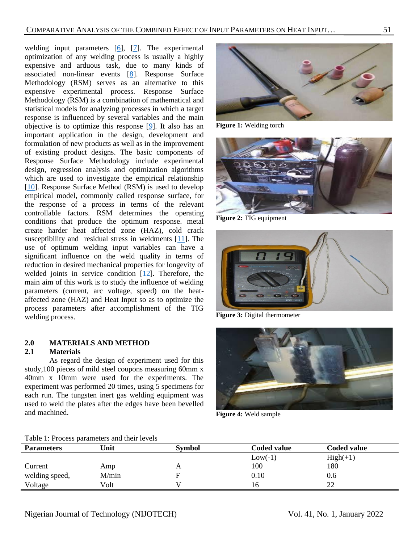welding input parameters [\[6\]](#page-3-5), [\[7\]](#page-3-6). The experimental optimization of any welding process is usually a highly expensive and arduous task, due to many kinds of associated non-linear events [\[8\]](#page-3-7). Response Surface Methodology (RSM) serves as an alternative to this expensive experimental process. Response Surface Methodology (RSM) is a combination of mathematical and statistical models for analyzing processes in which a target response is influenced by several variables and the main objective is to optimize this response [\[9\]](#page-3-8). It also has an important application in the design, development and formulation of new products as well as in the improvement of existing product designs. The basic components of Response Surface Methodology include experimental design, regression analysis and optimization algorithms which are used to investigate the empirical relationship [\[10\]](#page-4-0). Response Surface Method (RSM) is used to develop empirical model, commonly called response surface, for the response of a process in terms of the relevant controllable factors. RSM determines the operating conditions that produce the optimum response. metal create harder heat affected zone (HAZ), cold crack susceptibility and residual stress in weldments [\[11\]](#page-4-1). The use of optimum welding input variables can have a significant influence on the weld quality in terms of reduction in desired mechanical properties for longevity of welded joints in service condition [\[12\]](#page-4-2). Therefore, the main aim of this work is to study the influence of welding parameters (current, arc voltage, speed) on the heataffected zone (HAZ) and Heat Input so as to optimize the process parameters after accomplishment of the TIG welding process.

# **2.0 MATERIALS AND METHOD**

#### **2.1 Materials**

As regard the design of experiment used for this study,100 pieces of mild steel coupons measuring 60mm x 40mm x 10mm were used for the experiments. The experiment was performed 20 times, using 5 specimens for each run. The tungsten inert gas welding equipment was used to weld the plates after the edges have been bevelled and machined.



**Figure 1:** Welding torch



**Figure 2:** TIG equipment



**Figure 3:** Digital thermometer



**Figure 4:** Weld sample

| Table 1. I Toccas parameters and their Tevels |       |               |                    |                    |  |
|-----------------------------------------------|-------|---------------|--------------------|--------------------|--|
| <b>Parameters</b>                             | Unit  | <b>Symbol</b> | <b>Coded value</b> | <b>Coded value</b> |  |
|                                               |       |               | $Low(-1)$          | $High(+1)$         |  |
| Current                                       | Amp   |               | 100                | 180                |  |
| welding speed,                                | M/min |               | 0.10               | 0.6                |  |
| Voltage                                       | Volt  |               | 16                 | າາ                 |  |

Table 1: Process parameters and their levels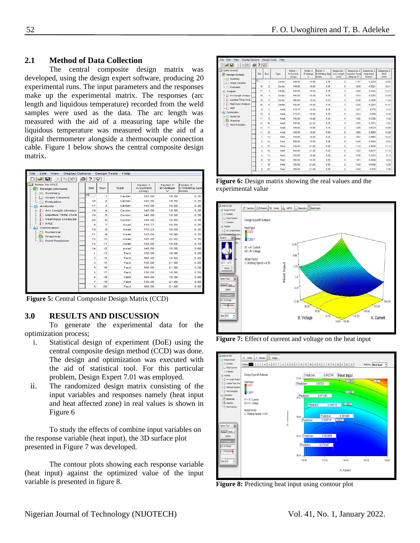# **2.1 Method of Data Collection**

The central composite design matrix was developed, using the design expert software, producing 20 experimental runs. The input parameters and the responses make up the experimental matrix. The responses (arc length and liquidous temperature) recorded from the weld samples were used as the data. The arc length was measured with the aid of a measuring tape while the liquidous temperature was measured with the aid of a digital thermometer alongside a thermocouple connection cable. Figure 1 below shows the central composite design matrix.

| <b>Display Options</b><br>File<br>Edit<br>View                    |  |                 |                | <b>Design Tools</b><br>Help |                                |                                             |                                    |  |  |
|-------------------------------------------------------------------|--|-----------------|----------------|-----------------------------|--------------------------------|---------------------------------------------|------------------------------------|--|--|
| $\approx$ $\blacksquare$<br>୍ବ<br>$\chi$<br><b>Bal</b><br>21<br>a |  |                 |                |                             |                                |                                             |                                    |  |  |
| Notes for HAZ<br><b>Design (Actual)</b><br>Summary<br>i 2001      |  | Std             | Run            | Type                        | Factor 1<br>A:Current<br>(Amp) | Factor 2<br><b>B:Voltage</b><br>$\mathbf v$ | Factor 3<br>C:Welding Spe<br>m/min |  |  |
| <b>Graph Columns</b><br>L. 147                                    |  | $\overline{15}$ | 1              | Center                      | 145.00                         | 19.50                                       | 0.35                               |  |  |
| L. <sup>o</sup> Evaluation                                        |  | 16              | $\overline{2}$ | Center                      | 145.00                         | 19.50                                       | 0.35                               |  |  |
| Analysis<br>mП                                                    |  | 17              | з              | Center                      | 145.00                         | 19.50                                       | 0.35                               |  |  |
| Arc Length (Analyz)                                               |  | 18              | 4              | Center                      | 145.00                         | 19.50                                       | 0.35                               |  |  |
| Liquidus Temp (Ana                                                |  | 19              | 5              | Center                      | 145.00                         | 19.50                                       | 0.35                               |  |  |
| Heat Input (Analyze)                                              |  | 20              | 6              | Center                      | 145.00                         | 19.50                                       | 0.35                               |  |  |
| <b>HAZ</b>                                                        |  | 9               | 7              | Axial                       | 119.77                         | 19.50                                       | 0.35                               |  |  |
| Optimization<br>Numerical<br>in yr's                              |  | 10              | 8              | Axial                       | 170.23                         | 19.50                                       | 0.35                               |  |  |
| Graphical                                                         |  | 11              | 9              | Axial                       | 145.00                         | 16.98                                       | 0.35                               |  |  |
| L Yn<br><b>Point Prediction</b>                                   |  | 12              | 10             | Axial                       | 145.00                         | 22.02                                       | 0.35                               |  |  |
|                                                                   |  | 13              | 11             | Axial                       | 145.00                         | 19.50                                       | 0.10                               |  |  |
|                                                                   |  | 14              | 12             | Axial                       | 145.00                         | 19.50                                       | 0.60                               |  |  |
|                                                                   |  | 1               | 13             | Fact                        | 130.00                         | 18.00                                       | 0.20                               |  |  |
|                                                                   |  | 2               | 14             | Fact                        | 160.00                         | 18.00                                       | 0.20                               |  |  |
|                                                                   |  | з               | 15             | Fact                        | 130.00                         | 21.00                                       | 0.20                               |  |  |
|                                                                   |  | 4               | 16             | Fact                        | 160.00                         | 21.00                                       | 0.20                               |  |  |
|                                                                   |  | 5               | 17             | Fact                        | 130.00                         | 18.00                                       | 0.50                               |  |  |
|                                                                   |  | e               | 18             | Fact                        | 160.00                         | 18.00                                       | 0.50                               |  |  |
|                                                                   |  | 7               | 19             | Fact                        | 130.00                         | 21.00                                       | 0.50                               |  |  |
|                                                                   |  | 8               | 20             | Fact                        | 160.00                         | 21.00                                       | 0.50                               |  |  |
|                                                                   |  |                 |                |                             |                                |                                             |                                    |  |  |

**Figure 5:** Central Composite Design Matrix (CCD)

## **3.0 RESULTS AND DISCUSSION**

To generate the experimental data for the optimization process;

- i. Statistical design of experiment (DoE) using the central composite design method (CCD) was done. The design and optimization was executed with the aid of statistical tool. For this particular problem, Design Expert 7.01 was employed.
- ii. The randomized design matrix consisting of the input variables and responses namely (heat input and heat affected zone) in real values is shown in Figure 6

To study the effects of combine input variables on the response variable (heat input), the 3D surface plot presented in Figure 7 was developed.

The contour plots showing each response variable (heat input) against the optimized value of the input variable is presented in figure 8.

| Edit View<br><b>Design Tools</b><br>Help<br>File<br><b>Display Options</b> |  |                |                |        |                                |                                   |                                    |                                  |                                                  |                                          |                                  |
|----------------------------------------------------------------------------|--|----------------|----------------|--------|--------------------------------|-----------------------------------|------------------------------------|----------------------------------|--------------------------------------------------|------------------------------------------|----------------------------------|
| m<br>c di<br>$2 \mathcal{Q} $<br>61<br>y,<br>临危                            |  |                |                |        |                                |                                   |                                    |                                  |                                                  |                                          |                                  |
| Notes for HAZ<br><b>Design (Actual)</b><br><b>Bill Summary</b>             |  | Std            | Run            | Type   | Factor 1<br>A:Current<br>(Amp) | Factor 2<br><b>B:Voltage</b><br>v | Factor 3<br>C:Welding Spe<br>m/min | Response 1<br>Arc Length<br>(mm) | Response 2<br><b>Liquidus Temp</b><br>(degree C) | Response 3<br><b>Heat Input</b><br>KJ/mm | Response 4<br><b>HAZ</b><br>(mm) |
| <b>Graph Columns</b>                                                       |  | 15             | 4              | Center | 145.00                         | 19.50                             | 0.35                               | $\overline{2}$                   | 1187                                             | 0.3224                                   | 12.62                            |
| <sup>o</sup> . Evaluation                                                  |  | 16             | $\overline{2}$ | Center | 145.00                         | 19.50                             | 0.35                               | 3                                | 1208                                             | 0.3321                                   | 12.41                            |
| <b>Bill</b> Analysis                                                       |  | 17             | 3              | Center | 145.00                         | 19.50                             | 0.35                               | 3                                | 1208                                             | 0.3422                                   | 12.73                            |
| - T Arc Length (Analyz)                                                    |  | 18             | 4              | Center | 145.00                         | 19.50                             | 0.35                               | 3                                | 1214                                             | 0.3215                                   | 12.56                            |
| -   Liquidus Temp (Ana                                                     |  | 19             | 5              | Center | 145.00                         | 19.50                             | 0.35                               | 3                                | 1236                                             | 0.3266                                   | 11.24                            |
| - 1 Heat Input (Analyze                                                    |  | 20             | 6              | Center | 145.00                         | 19.50                             | 0.35                               | 3                                | 1220                                             | 0.2857                                   | 11.27                            |
| <b>THAZ</b>                                                                |  | 9              | 7              | Axial  | 119.77                         | 19.50                             | 0.35                               | $\overline{a}$                   | 1257                                             | 0.476                                    | 5.33                             |
| Optimization<br>- 37<br>Numerical<br>Ŋ<br>Graphical                        |  | 10             | 8              | Axial  | 170.23                         | 19.50                             | 0.35                               | 4                                | 1523                                             | 0.559                                    | 5.39                             |
|                                                                            |  | 11             | 9              | Axial  | 145.00                         | 16.98                             | 0.35                               | 4                                | 1326                                             | 0.3786                                   | 7.52                             |
| L XI<br><b>Point Prediction</b>                                            |  | 12             | 10             | Axial  | 145.00                         | 22.02                             | 0.35                               | 3                                | 1265                                             | 0.7873                                   | 4.92                             |
|                                                                            |  | 13             | 11             | Axial  | 145.00                         | 19.50                             | 0.10                               | $\overline{a}$                   | 1285                                             | 0.6724                                   | 14.66                            |
|                                                                            |  | 14             | 12             | Axial  | 145.00                         | 19.50                             | 0.60                               | $\overline{2}$                   | 1280                                             | 0.5993                                   | 14.28                            |
|                                                                            |  | 1              | 13             | Fact   | 130.00                         | 18.00                             | 0.20                               | $\overline{2}$                   | 1367                                             | 0.5967                                   | 10.25                            |
|                                                                            |  | $\overline{c}$ | 14             | Fact   | 160.00                         | 18.00                             | 0.20                               | 4                                | 1548                                             | 0.5894                                   | 8.63                             |
|                                                                            |  | 3              | 15             | Fact   | 130.00                         | 21.00                             | 0.20                               | $\overline{c}$                   | 1118                                             | 0.5699                                   | 11.12                            |
|                                                                            |  | 4              | 16             | Fact   | 160.00                         | 21.00                             | 0.20                               | 4                                | 1302                                             | 0.8577                                   | 11.78                            |
|                                                                            |  | 5              | 17             | Fact   | 130.00                         | 18.00                             | 0.50                               | 4                                | 1236                                             | 0.3313                                   | 8.14                             |
|                                                                            |  | Ŕ              | 18             | Fact   | 160.00                         | 18.00                             | 0.50                               | 4                                | 1361                                             | 0.2939                                   | 9.82                             |
|                                                                            |  | 7              | 19             | Fact   | 130.00                         | 21.00                             | 0.50                               | $\overline{c}$                   | 1420                                             | 0.6786                                   | 5.08                             |
|                                                                            |  | 8              | 20             | Fact   | 160.00                         | 21.00                             | 0.50                               | $\overline{a}$                   | 1548                                             | 0.878                                    | 7.86                             |
|                                                                            |  |                |                |        |                                |                                   |                                    |                                  |                                                  |                                          |                                  |

Figure 6: Design matrix showing the real values and the experimental value



Figure 7: Effect of current and voltage on the heat input



**Figure 8:** Predicting heat input using contour plot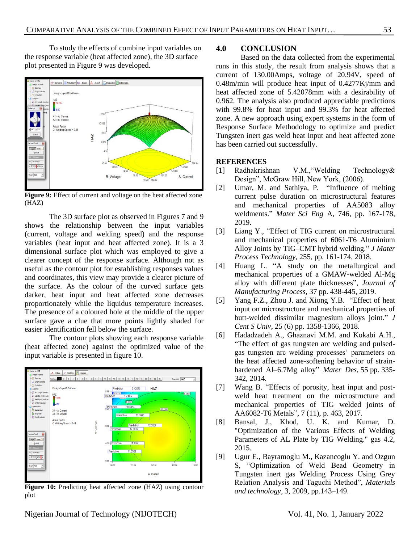To study the effects of combine input variables on the response variable (heat affected zone), the 3D surface plot presented in Figure 9 was developed.



**Figure 9:** Effect of current and voltage on the heat affected zone (HAZ)

The 3D surface plot as observed in Figures 7 and 9 shows the relationship between the input variables (current, voltage and welding speed) and the response variables (heat input and heat affected zone). It is a 3 dimensional surface plot which was employed to give a clearer concept of the response surface. Although not as useful as the contour plot for establishing responses values and coordinates, this view may provide a clearer picture of the surface. As the colour of the curved surface gets darker, heat input and heat affected zone decreases proportionately while the liquidus temperature increases. The presence of a coloured hole at the middle of the upper surface gave a clue that more points lightly shaded for easier identification fell below the surface.

The contour plots showing each response variable (heat affected zone) against the optimized value of the input variable is presented in figure 10.



Figure 10: Predicting heat affected zone (HAZ) using contour plot

### **4.0 CONCLUSION**

Based on the data collected from the experimental runs in this study, the result from analysis shows that a current of 130.00Amps, voltage of 20.94V, speed of 0.48m/min will produce heat input of 0.4277Kj/mm and heat affected zone of 5.42078mm with a desirability of 0.962. The analysis also produced appreciable predictions with 99.8% for heat input and 99.3% for heat affected zone. A new approach using expert systems in the form of Response Surface Methodology to optimize and predict Tungsten inert gas weld heat input and heat affected zone has been carried out successfully.

## **REFERENCES**

- <span id="page-3-0"></span>[1] Radhakrishnan V.M.,"Welding Technology& Design", McGraw Hill, New York, (2006).
- <span id="page-3-1"></span>[2] Umar, M. and Sathiya, P. "Influence of melting current pulse duration on microstructural features and mechanical properties of AA5083 alloy weldments." *Mater Sci Eng* A, 746, pp. 167-178, 2019.
- <span id="page-3-2"></span>[3] Liang Y., "Effect of TIG current on microstructural and mechanical properties of 6061-T6 Aluminium Alloy Joints by TIG–CMT hybrid welding." *J Mater Process Technology*, 255, pp. 161-174, 2018.
- <span id="page-3-3"></span>[4] Huang L. "A study on the metallurgical and mechanical properties of a GMAW-welded Al-Mg alloy with different plate thicknesses", *Journal of Manufacturing Process*, 37 pp. 438-445, 2019.
- <span id="page-3-4"></span>[5] Yang F.Z., Zhou J. and Xiong Y.B. "Effect of heat input on microstructure and mechanical properties of butt-welded dissimilar magnesium alloys joint." *J Cent S Univ*, 25 (6) pp. 1358-1366, 2018.
- <span id="page-3-5"></span>[6] Hadadzadeh A., Ghaznavi M.M. and Kokabi A.H., "The effect of gas tungsten arc welding and pulsedgas tungsten arc welding processes' parameters on the heat affected zone-softening behavior of strainhardened Al–6.7Mg alloy" *Mater Des*, 55 pp. 335- 342, 2014.
- <span id="page-3-6"></span>[7] Wang B. "Effects of porosity, heat input and postweld heat treatment on the microstructure and mechanical properties of TIG welded joints of AA6082-T6 Metals", 7 (11), p. 463, 2017.
- <span id="page-3-7"></span>[8] Bansal, J., Khod, U. K. and Kumar, D. "Optimization of the Various Effects of Welding Parameters of AL Plate by TIG Welding." gas 4.2, 2015.
- <span id="page-3-8"></span>[9] Ugur E., Bayramoglu M., Kazancoglu Y. and Ozgun S, "Optimization of Weld Bead Geometry in Tungsten inert gas Welding Process Using Grey Relation Analysis and Taguchi Method", *Materials and technology*, 3, 2009, pp.143–149.